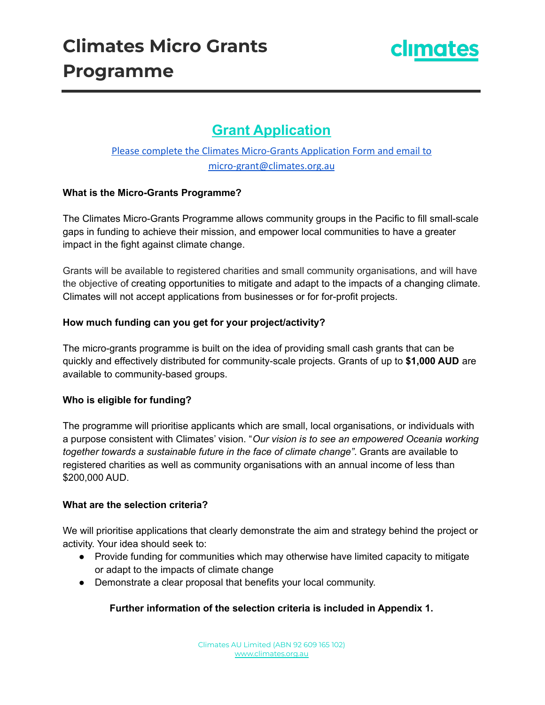

# **Grant Application**

## Please complete the Climates Micro-Grants Application Form and email to micro-grant@climates.org.au

#### **What is the Micro-Grants Programme?**

The Climates Micro-Grants Programme allows community groups in the Pacific to fill small-scale gaps in funding to achieve their mission, and empower local communities to have a greater impact in the fight against climate change.

Grants will be available to registered charities and small community organisations, and will have the objective of creating opportunities to mitigate and adapt to the impacts of a changing climate. Climates will not accept applications from businesses or for for-profit projects.

#### **How much funding can you get for your project/activity?**

The micro-grants programme is built on the idea of providing small cash grants that can be quickly and effectively distributed for community-scale projects. Grants of up to **\$1,000 AUD** are available to community-based groups.

#### **Who is eligible for funding?**

The programme will prioritise applicants which are small, local organisations, or individuals with a purpose consistent with Climates' vision. "*Our vision is to see an empowered Oceania working together towards a sustainable future in the face of climate change"*. Grants are available to registered charities as well as community organisations with an annual income of less than \$200,000 AUD.

#### **What are the selection criteria?**

We will prioritise applications that clearly demonstrate the aim and strategy behind the project or activity. Your idea should seek to:

- Provide funding for communities which may otherwise have limited capacity to mitigate or adapt to the impacts of climate change
- Demonstrate a clear proposal that benefits your local community.

### **Further information of the selection criteria is included in Appendix 1.**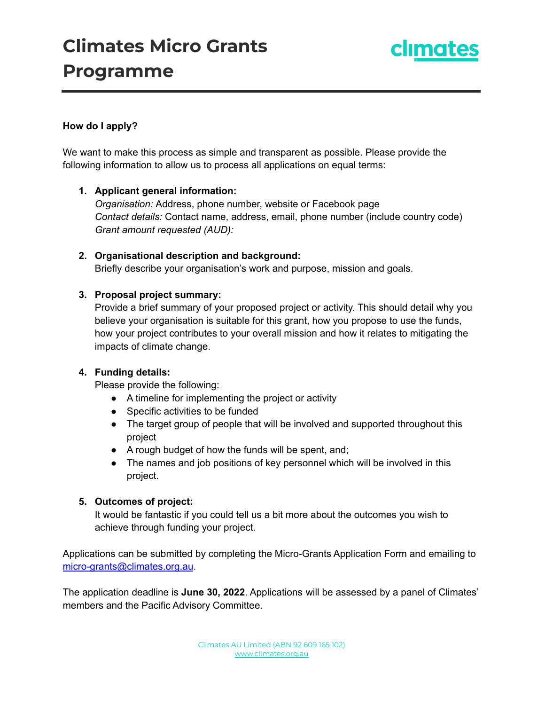# **Climates Micro Grants Programme**



#### **How do I apply?**

We want to make this process as simple and transparent as possible. Please provide the following information to allow us to process all applications on equal terms:

#### **1. Applicant general information:**

*Organisation:* Address, phone number, website or Facebook page *Contact details:* Contact name, address, email, phone number (include country code) *Grant amount requested (AUD):*

### **2. Organisational description and background:**

Briefly describe your organisation's work and purpose, mission and goals.

#### **3. Proposal project summary:**

Provide a brief summary of your proposed project or activity. This should detail why you believe your organisation is suitable for this grant, how you propose to use the funds, how your project contributes to your overall mission and how it relates to mitigating the impacts of climate change.

#### **4. Funding details:**

Please provide the following:

- A timeline for implementing the project or activity
- Specific activities to be funded
- The target group of people that will be involved and supported throughout this project
- A rough budget of how the funds will be spent, and;
- The names and job positions of key personnel which will be involved in this project.

#### **5. Outcomes of project:**

It would be fantastic if you could tell us a bit more about the outcomes you wish to achieve through funding your project.

Applications can be submitted by completing the Micro-Grants Application Form and emailing to [micro-grants@climates.org.au](mailto:micro-grants@climates.org.au).

The application deadline is **June 30, 2022**. Applications will be assessed by a panel of Climates' members and the Pacific Advisory Committee.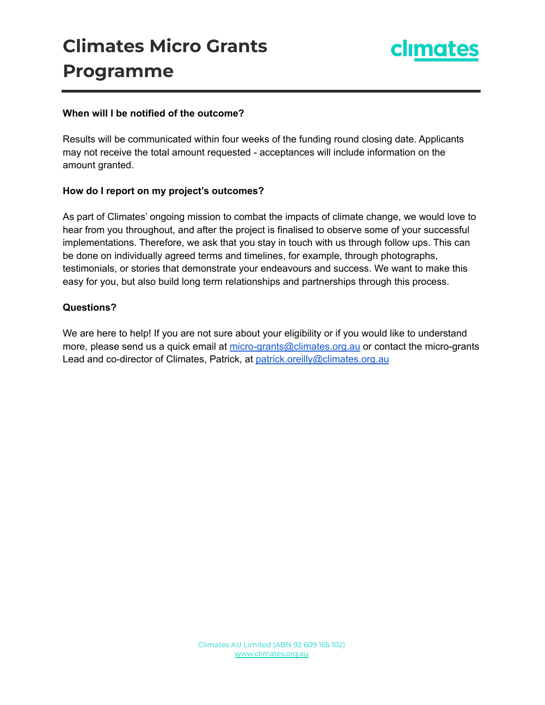# **Climates Micro Grants Programme**



#### **When will I be notified of the outcome?**

Results will be communicated within four weeks of the funding round closing date. Applicants may not receive the total amount requested - acceptances will include information on the amount granted.

#### **How do I report on my project's outcomes?**

As part of Climates' ongoing mission to combat the impacts of climate change, we would love to hear from you throughout, and after the project is finalised to observe some of your successful implementations. Therefore, we ask that you stay in touch with us through follow ups. This can be done on individually agreed terms and timelines, for example, through photographs, testimonials, or stories that demonstrate your endeavours and success. We want to make this easy for you, but also build long term relationships and partnerships through this process.

#### **Questions?**

We are here to help! If you are not sure about your eligibility or if you would like to understand more, please send us a quick email at [micro-grants@climates.org.au](mailto:micro-grants@climates.org.au) or contact the micro-grants Lead and co-director of Climates, Patrick, at [patrick.oreilly@climates.org.au](mailto:patrick.oreilly@climates.org.au)